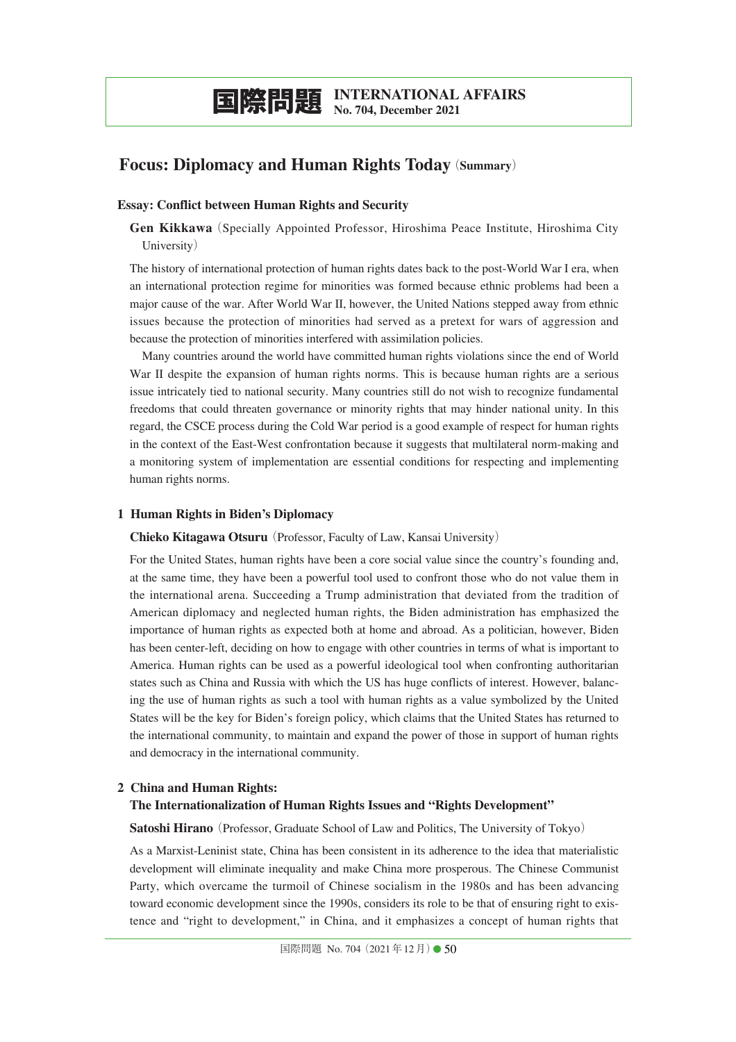# **Focus: Diplomacy and Human Rights Today**(**Summary**)

# **Essay: Conflict between Human Rights and Security**

**Gen Kikkawa**(Specially Appointed Professor, Hiroshima Peace Institute, Hiroshima City University)

The history of international protection of human rights dates back to the post-World War I era, when an international protection regime for minorities was formed because ethnic problems had been a major cause of the war. After World War II, however, the United Nations stepped away from ethnic issues because the protection of minorities had served as a pretext for wars of aggression and because the protection of minorities interfered with assimilation policies.

Many countries around the world have committed human rights violations since the end of World War II despite the expansion of human rights norms. This is because human rights are a serious issue intricately tied to national security. Many countries still do not wish to recognize fundamental freedoms that could threaten governance or minority rights that may hinder national unity. In this regard, the CSCE process during the Cold War period is a good example of respect for human rights in the context of the East-West confrontation because it suggests that multilateral norm-making and a monitoring system of implementation are essential conditions for respecting and implementing human rights norms.

# **1 Human Rights in Biden's Diplomacy**

**Chieko Kitagawa Otsuru**(Professor, Faculty of Law, Kansai University)

For the United States, human rights have been a core social value since the country's founding and, at the same time, they have been a powerful tool used to confront those who do not value them in the international arena. Succeeding a Trump administration that deviated from the tradition of American diplomacy and neglected human rights, the Biden administration has emphasized the importance of human rights as expected both at home and abroad. As a politician, however, Biden has been center-left, deciding on how to engage with other countries in terms of what is important to America. Human rights can be used as a powerful ideological tool when confronting authoritarian states such as China and Russia with which the US has huge conflicts of interest. However, balancing the use of human rights as such a tool with human rights as a value symbolized by the United States will be the key for Biden's foreign policy, which claims that the United States has returned to the international community, to maintain and expand the power of those in support of human rights and democracy in the international community.

### **2 China and Human Rights:**

### **The Internationalization of Human Rights Issues and "Rights Development"**

**Satoshi Hirano** (Professor, Graduate School of Law and Politics, The University of Tokyo)

As a Marxist-Leninist state, China has been consistent in its adherence to the idea that materialistic development will eliminate inequality and make China more prosperous. The Chinese Communist Party, which overcame the turmoil of Chinese socialism in the 1980s and has been advancing toward economic development since the 1990s, considers its role to be that of ensuring right to existence and "right to development," in China, and it emphasizes a concept of human rights that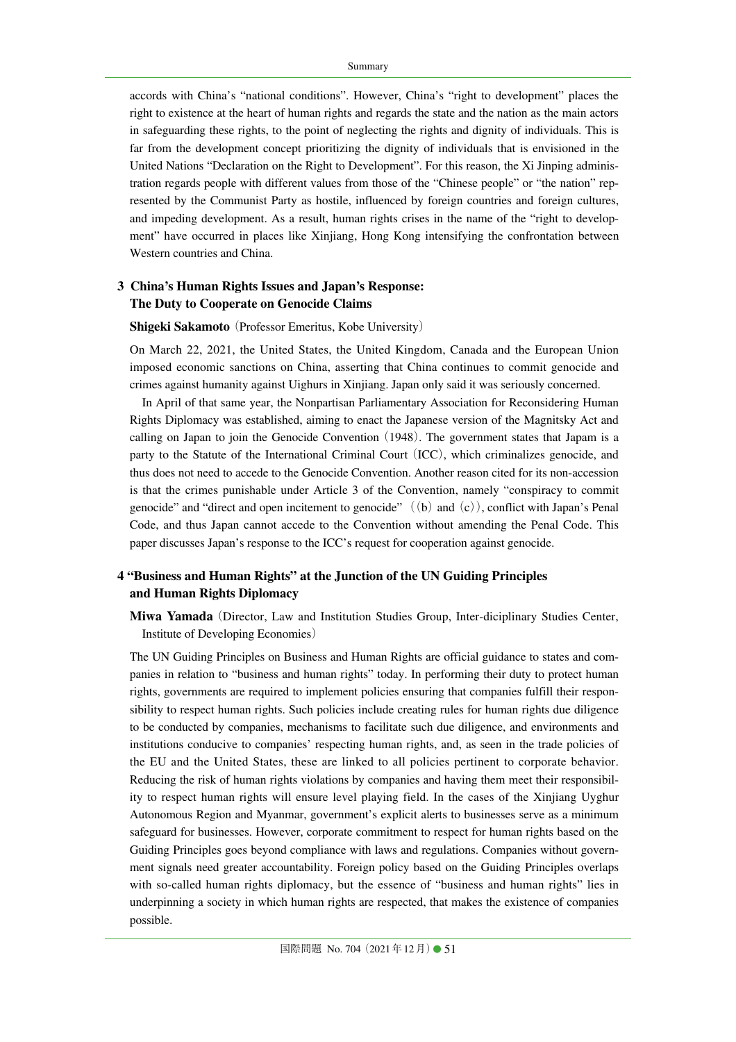accords with China's "national conditions". However, China's "right to development" places the right to existence at the heart of human rights and regards the state and the nation as the main actors in safeguarding these rights, to the point of neglecting the rights and dignity of individuals. This is far from the development concept prioritizing the dignity of individuals that is envisioned in the United Nations "Declaration on the Right to Development". For this reason, the Xi Jinping administration regards people with different values from those of the "Chinese people" or "the nation" represented by the Communist Party as hostile, influenced by foreign countries and foreign cultures, and impeding development. As a result, human rights crises in the name of the "right to development" have occurred in places like Xinjiang, Hong Kong intensifying the confrontation between Western countries and China.

# **3 China's Human Rights Issues and Japan's Response: The Duty to Cooperate on Genocide Claims**

#### **Shigeki Sakamoto** (Professor Emeritus, Kobe University)

On March 22, 2021, the United States, the United Kingdom, Canada and the European Union imposed economic sanctions on China, asserting that China continues to commit genocide and crimes against humanity against Uighurs in Xinjiang. Japan only said it was seriously concerned.

In April of that same year, the Nonpartisan Parliamentary Association for Reconsidering Human Rights Diplomacy was established, aiming to enact the Japanese version of the Magnitsky Act and calling on Japan to join the Genocide Convention  $(1948)$ . The government states that Japam is a party to the Statute of the International Criminal Court (ICC), which criminalizes genocide, and thus does not need to accede to the Genocide Convention. Another reason cited for its non-accession is that the crimes punishable under Article 3 of the Convention, namely "conspiracy to commit genocide" and "direct and open incitement to genocide"  $((b)$  and  $(c))$ , conflict with Japan's Penal Code, and thus Japan cannot accede to the Convention without amending the Penal Code. This paper discusses Japan's response to the ICC's request for cooperation against genocide.

# **4 "Business and Human Rights" at the Junction of the UN Guiding Principles and Human Rights Diplomacy**

**Miwa Yamada**(Director, Law and Institution Studies Group, Inter-diciplinary Studies Center, Institute of Developing Economies)

The UN Guiding Principles on Business and Human Rights are official guidance to states and companies in relation to "business and human rights" today. In performing their duty to protect human rights, governments are required to implement policies ensuring that companies fulfill their responsibility to respect human rights. Such policies include creating rules for human rights due diligence to be conducted by companies, mechanisms to facilitate such due diligence, and environments and institutions conducive to companies' respecting human rights, and, as seen in the trade policies of the EU and the United States, these are linked to all policies pertinent to corporate behavior. Reducing the risk of human rights violations by companies and having them meet their responsibility to respect human rights will ensure level playing field. In the cases of the Xinjiang Uyghur Autonomous Region and Myanmar, government's explicit alerts to businesses serve as a minimum safeguard for businesses. However, corporate commitment to respect for human rights based on the Guiding Principles goes beyond compliance with laws and regulations. Companies without government signals need greater accountability. Foreign policy based on the Guiding Principles overlaps with so-called human rights diplomacy, but the essence of "business and human rights" lies in underpinning a society in which human rights are respected, that makes the existence of companies possible.